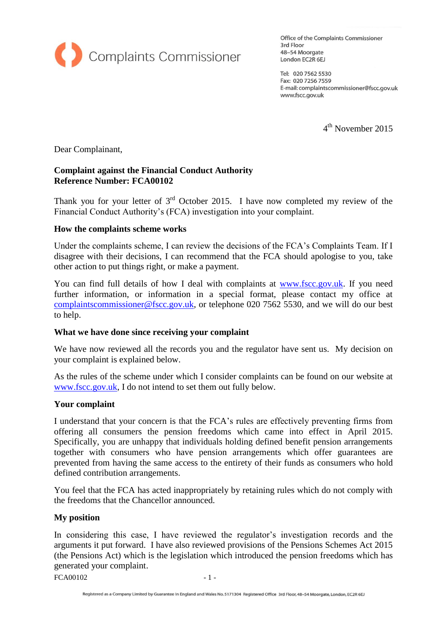

Office of the Complaints Commissioner 3rd Floor 48-54 Moorgate London EC2R 6EJ

Tel: 020 7562 5530 Fax: 020 7256 7559 E-mail: complaintscommissioner@fscc.gov.uk www.fscc.gov.uk

4 th November 2015

Dear Complainant,

# **Complaint against the Financial Conduct Authority Reference Number: FCA00102**

Thank you for your letter of  $3<sup>rd</sup>$  October 2015. I have now completed my review of the Financial Conduct Authority's (FCA) investigation into your complaint.

### **How the complaints scheme works**

Under the complaints scheme, I can review the decisions of the FCA's Complaints Team. If I disagree with their decisions, I can recommend that the FCA should apologise to you, take other action to put things right, or make a payment.

You can find full details of how I deal with complaints at [www.fscc.gov.uk.](http://www.fscc.gov.uk/) If you need further information, or information in a special format, please contact my office at [complaintscommissioner@fscc.gov.uk,](mailto:complaintscommissioner@fscc.gov.uk) or telephone 020 7562 5530, and we will do our best to help.

#### **What we have done since receiving your complaint**

We have now reviewed all the records you and the regulator have sent us. My decision on your complaint is explained below.

As the rules of the scheme under which I consider complaints can be found on our website at [www.fscc.gov.uk,](http://www.fscc.gov.uk/) I do not intend to set them out fully below.

#### **Your complaint**

I understand that your concern is that the FCA's rules are effectively preventing firms from offering all consumers the pension freedoms which came into effect in April 2015. Specifically, you are unhappy that individuals holding defined benefit pension arrangements together with consumers who have pension arrangements which offer guarantees are prevented from having the same access to the entirety of their funds as consumers who hold defined contribution arrangements.

You feel that the FCA has acted inappropriately by retaining rules which do not comply with the freedoms that the Chancellor announced.

# **My position**

In considering this case, I have reviewed the regulator's investigation records and the arguments it put forward. I have also reviewed provisions of the Pensions Schemes Act 2015 (the Pensions Act) which is the legislation which introduced the pension freedoms which has generated your complaint.

 $FCA00102$   $-1$  -